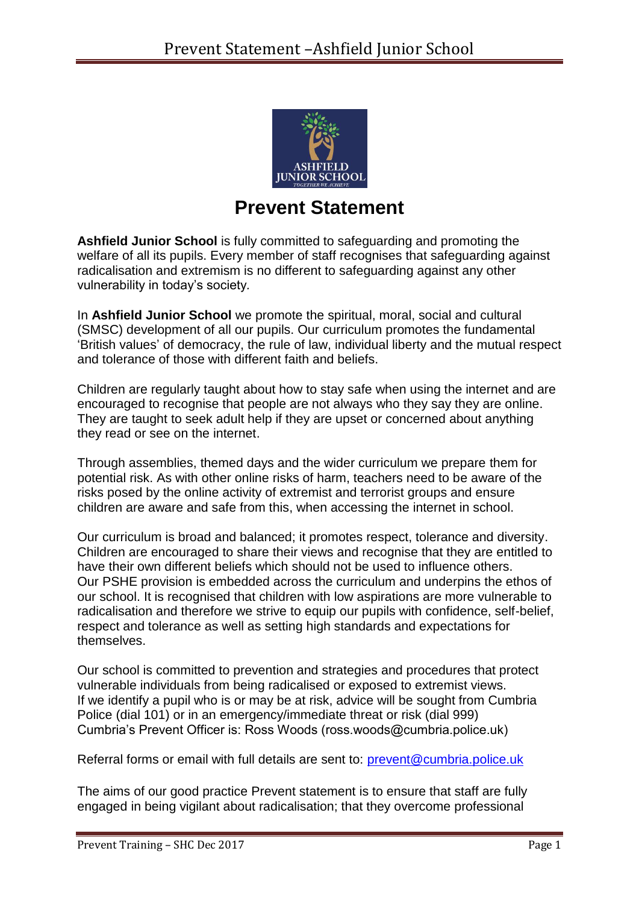

## **Prevent Statement**

**Ashfield Junior School** is fully committed to safeguarding and promoting the welfare of all its pupils. Every member of staff recognises that safeguarding against radicalisation and extremism is no different to safeguarding against any other vulnerability in today's society*.*

In **Ashfield Junior School** we promote the spiritual, moral, social and cultural (SMSC) development of all our pupils. Our curriculum promotes the fundamental 'British values' of democracy, the rule of law, individual liberty and the mutual respect and tolerance of those with different faith and beliefs.

Children are regularly taught about how to stay safe when using the internet and are encouraged to recognise that people are not always who they say they are online. They are taught to seek adult help if they are upset or concerned about anything they read or see on the internet.

Through assemblies, themed days and the wider curriculum we prepare them for potential risk. As with other online risks of harm, teachers need to be aware of the risks posed by the online activity of extremist and terrorist groups and ensure children are aware and safe from this, when accessing the internet in school.

Our curriculum is broad and balanced; it promotes respect, tolerance and diversity. Children are encouraged to share their views and recognise that they are entitled to have their own different beliefs which should not be used to influence others. Our PSHE provision is embedded across the curriculum and underpins the ethos of our school. It is recognised that children with low aspirations are more vulnerable to radicalisation and therefore we strive to equip our pupils with confidence, self-belief, respect and tolerance as well as setting high standards and expectations for themselves.

Our school is committed to prevention and strategies and procedures that protect vulnerable individuals from being radicalised or exposed to extremist views. If we identify a pupil who is or may be at risk, advice will be sought from Cumbria Police (dial 101) or in an emergency/immediate threat or risk (dial 999) Cumbria's Prevent Officer is: Ross Woods (ross.woods@cumbria.police.uk)

Referral forms or email with full details are sent to: [prevent@cumbria.police.uk](mailto:prevent@cumbria.police.uk)

The aims of our good practice Prevent statement is to ensure that staff are fully engaged in being vigilant about radicalisation; that they overcome professional